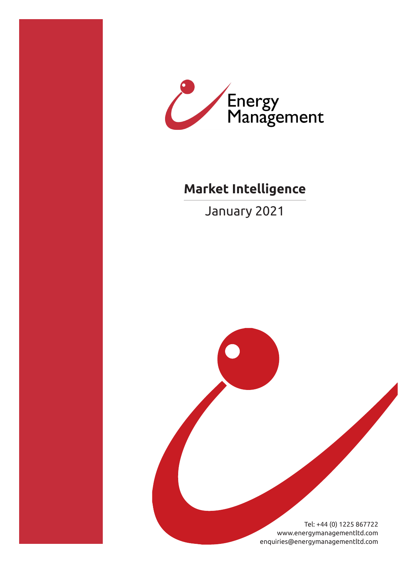



# **Market Intelligence**

January 2021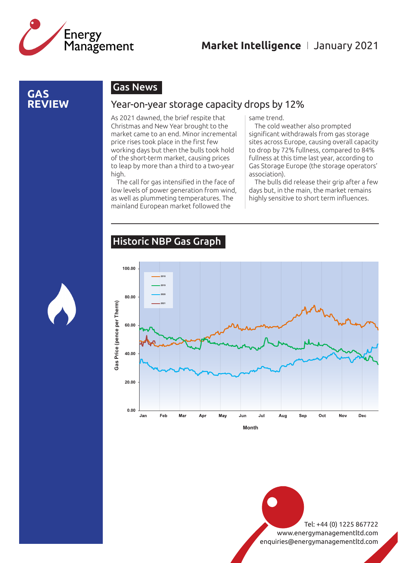

#### **GAS REVIEW**

#### Gas News

#### Year-on-year storage capacity drops by 12%

As 2021 dawned, the brief respite that Christmas and New Year brought to the market came to an end. Minor incremental price rises took place in the first few working days but then the bulls took hold of the short-term market, causing prices to leap by more than a third to a two-year high.

The call for gas intensified in the face of low levels of power generation from wind, as well as plummeting temperatures. The mainland European market followed the

same trend.

The cold weather also prompted significant withdrawals from gas storage sites across Europe, causing overall capacity to drop by 72% fullness, compared to 84% fullness at this time last year, according to Gas Storage Europe (the storage operators' association).

The bulls did release their grip after a few days but, in the main, the market remains highly sensitive to short term influences.

#### Historic NBP Gas Graph



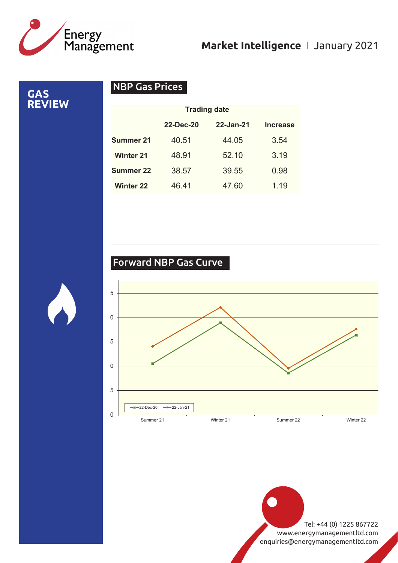

**GAS REVIEW**

#### NBP Gas Prices

|                  | <b>Trading date</b> |           |                 |
|------------------|---------------------|-----------|-----------------|
|                  | <b>22-Dec-20</b>    | 22-Jan-21 | <b>Increase</b> |
| Summer 21        | 40.51               | 44.05     | 3.54            |
| <b>Winter 21</b> | 48.91               | 52.10     | 3.19            |
| <b>Summer 22</b> | 38.57               | 39.55     | 0.98            |
| <b>Winter 22</b> | 46.41               | 47.60     | 1.19            |

#### Forward NBP Gas Curve

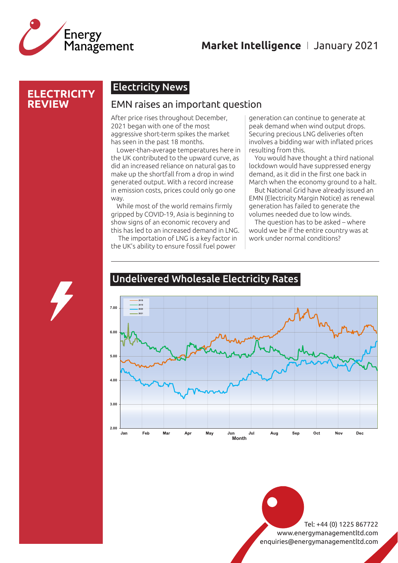

#### **ELECTRICITY REVIEW**

#### Electricity News

#### EMN raises an important question

After price rises throughout December, 2021 began with one of the most aggressive short-term spikes the market has seen in the past 18 months.

Lower-than-average temperatures here in the UK contributed to the upward curve, as did an increased reliance on natural gas to make up the shortfall from a drop in wind generated output. With a record increase in emission costs, prices could only go one way.

While most of the world remains firmly gripped by COVID-19, Asia is beginning to show signs of an economic recovery and this has led to an increased demand in LNG.

 The importation of LNG is a key factor in the UK's ability to ensure fossil fuel power

generation can continue to generate at peak demand when wind output drops. Securing precious LNG deliveries often involves a bidding war with inflated prices resulting from this.

You would have thought a third national lockdown would have suppressed energy demand, as it did in the first one back in March when the economy ground to a halt.

But National Grid have already issued an EMN (Electricity Margin Notice) as renewal generation has failed to generate the volumes needed due to low winds.

The question has to be asked – where would we be if the entire country was at work under normal conditions?



#### Undelivered Wholesale Electricity Rates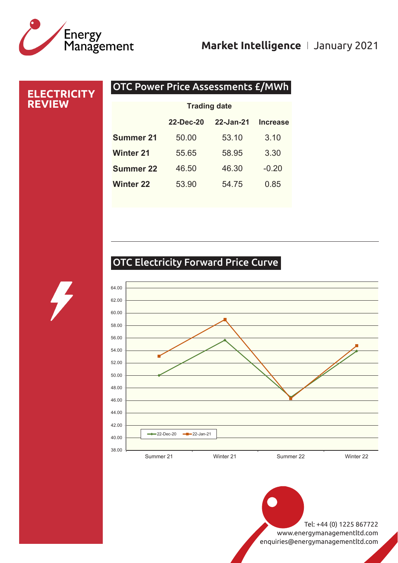# Energy<br>Management

## **Market Intelligence** I January 2021

| <b>ELECTRICITY</b><br><b>REVIEW</b> | <b>OTC Power Price Assessments £/MWh</b> |           |           |                 |  |
|-------------------------------------|------------------------------------------|-----------|-----------|-----------------|--|
|                                     | <b>Trading date</b>                      |           |           |                 |  |
|                                     |                                          | 22-Dec-20 | 22-Jan-21 | <b>Increase</b> |  |
|                                     | <b>Summer 21</b>                         | 50.00     | 53.10     | 3.10            |  |
|                                     | <b>Winter 21</b>                         | 55.65     | 58.95     | 3.30            |  |
|                                     | Summer 22                                | 46.50     | 46.30     | $-0.20$         |  |
|                                     | <b>Winter 22</b>                         | 53.90     | 54.75     | 0.85            |  |
|                                     |                                          |           |           |                 |  |

## OTC Electricity Forward Price Curve